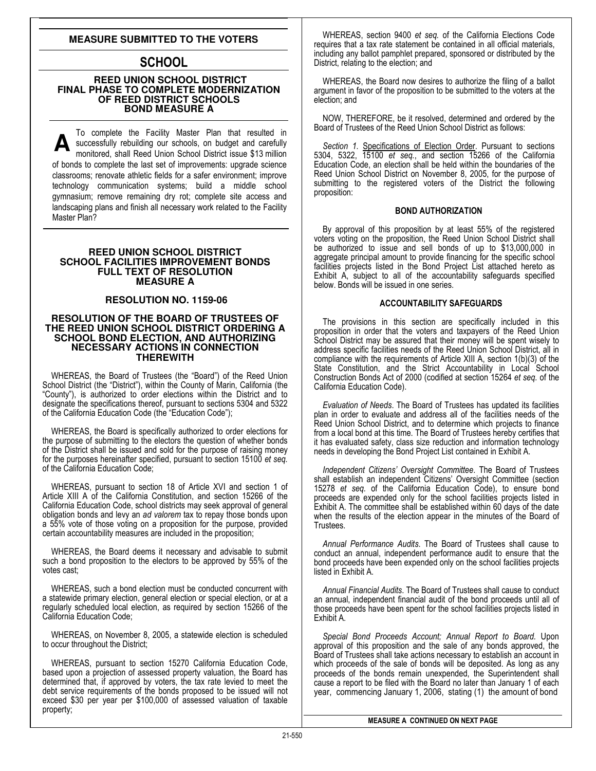### **MEASURE SUBMITTED TO THE VOTERS**

# SCHOOL

### **REED UNION SCHOOL DISTRICT FINAL PHASE TO COMPLETE MODERNIZATION OF REED DISTRICT SCHOOLS BOND MEASURE A**

To complete the Facility Master Plan that resulted in successfully rebuilding our schools, on budget and carefully monitored, shall Reed Union School District issue \$13 million of bonds to complete the last set of improvements: upgrade science classrooms; renovate athletic fields for a safer environment; improve technology communication systems; build a middle school gymnasium; remove remaining dry rot; complete site access and landscaping plans and finish all necessary work related to the Facility Master Plan?

### **REED UNION SCHOOL DISTRICT SCHOOL FACILITIES IMPROVEMENT BONDS FULL TEXT OF RESOLUTION MEASURE A**

### **RESOLUTION NO. 1159-06**

### **RESOLUTION OF THE BOARD OF TRUSTEES OF THE REED UNION SCHOOL DISTRICT ORDERING A SCHOOL BOND ELECTION, AND AUTHORIZING NECESSARY ACTIONS IN CONNECTION THEREWITH**

WHEREAS, the Board of Trustees (the "Board") of the Reed Union School District (the "District"), within the County of Marin, California (the "County"), is authorized to order elections within the District and to designate the specifications thereof, pursuant to sections 5304 and 5322 of the California Education Code (the "Education Code");

WHEREAS, the Board is specifically authorized to order elections for the purpose of submitting to the electors the question of whether bonds of the District shall be issued and sold for the purpose of raising money for the purposes hereinafter specified, pursuant to section 15100 et seq. of the California Education Code;

WHEREAS, pursuant to section 18 of Article XVI and section 1 of Article XIII A of the California Constitution, and section 15266 of the California Education Code, school districts may seek approval of general obligation bonds and levy an ad valorem tax to repay those bonds upon a 55% vote of those voting on a proposition for the purpose, provided certain accountability measures are included in the proposition;

WHEREAS, the Board deems it necessary and advisable to submit such a bond proposition to the electors to be approved by 55% of the votes cast;

WHEREAS, such a bond election must be conducted concurrent with a statewide primary election, general election or special election, or at a regularly scheduled local election, as required by section 15266 of the California Education Code;

WHEREAS, on November 8, 2005, a statewide election is scheduled to occur throughout the District;

WHEREAS, pursuant to section 15270 California Education Code, based upon a projection of assessed property valuation, the Board has determined that, if approved by voters, the tax rate levied to meet the debt service requirements of the bonds proposed to be issued will not exceed \$30 per year per \$100,000 of assessed valuation of taxable property;

WHEREAS, section 9400 et seq. of the California Elections Code requires that a tax rate statement be contained in all official materials, including any ballot pamphlet prepared, sponsored or distributed by the District, relating to the election; and

WHEREAS, the Board now desires to authorize the filing of a ballot argument in favor of the proposition to be submitted to the voters at the election; and

NOW, THEREFORE, be it resolved, determined and ordered by the Board of Trustees of the Reed Union School District as follows:

Section 1. Specifications of Election Order. Pursuant to sections 5304, 5322, 15100 et seq., and section 15266 of the California Education Code, an election shall be held within the boundaries of the Reed Union School District on November 8, 2005, for the purpose of submitting to the registered voters of the District the following proposition:

### BOND AUTHORIZATION

By approval of this proposition by at least 55% of the registered voters voting on the proposition, the Reed Union School District shall be authorized to issue and sell bonds of up to \$13,000,000 in aggregate principal amount to provide financing for the specific school facilities projects listed in the Bond Project List attached hereto as Exhibit A, subject to all of the accountability safeguards specified below. Bonds will be issued in one series.

### ACCOUNTABILITY SAFEGUARDS

The provisions in this section are specifically included in this proposition in order that the voters and taxpayers of the Reed Union School District may be assured that their money will be spent wisely to address specific facilities needs of the Reed Union School District, all in compliance with the requirements of Article XIII A, section 1(b)(3) of the State Constitution, and the Strict Accountability in Local School Construction Bonds Act of 2000 (codified at section 15264 et seq. of the California Education Code).

Evaluation of Needs. The Board of Trustees has updated its facilities plan in order to evaluate and address all of the facilities needs of the Reed Union School District, and to determine which projects to finance from a local bond at this time. The Board of Trustees hereby certifies that it has evaluated safety, class size reduction and information technology needs in developing the Bond Project List contained in Exhibit A.

Independent Citizens' Oversight Committee. The Board of Trustees shall establish an independent Citizens' Oversight Committee (section 15278 et seq. of the California Education Code), to ensure bond proceeds are expended only for the school facilities projects listed in Exhibit A. The committee shall be established within 60 days of the date when the results of the election appear in the minutes of the Board of Trustees.

Annual Performance Audits. The Board of Trustees shall cause to conduct an annual, independent performance audit to ensure that the bond proceeds have been expended only on the school facilities projects listed in Exhibit A.

Annual Financial Audits. The Board of Trustees shall cause to conduct an annual, independent financial audit of the bond proceeds until all of those proceeds have been spent for the school facilities projects listed in Exhibit A.

Special Bond Proceeds Account; Annual Report to Board. Upon approval of this proposition and the sale of any bonds approved, the Board of Trustees shall take actions necessary to establish an account in which proceeds of the sale of bonds will be deposited. As long as any proceeds of the bonds remain unexpended, the Superintendent shall cause a report to be filed with the Board no later than January 1 of each year, commencing January 1, 2006, stating (1) the amount of bond

MEASURE A CONTINUED ON NEXT PAGE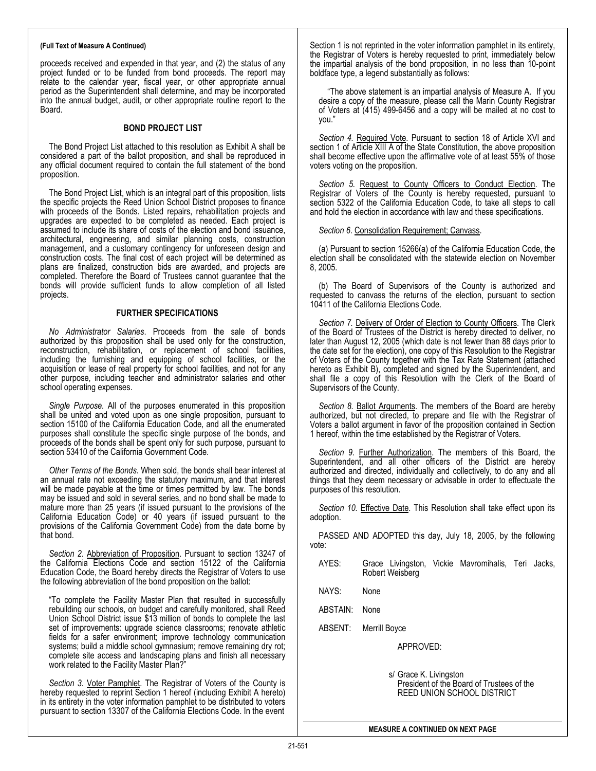#### (Full Text of Measure A Continued)

proceeds received and expended in that year, and (2) the status of any project funded or to be funded from bond proceeds. The report may relate to the calendar year, fiscal year, or other appropriate annual period as the Superintendent shall determine, and may be incorporated into the annual budget, audit, or other appropriate routine report to the Board.

### BOND PROJECT LIST

The Bond Project List attached to this resolution as Exhibit A shall be considered a part of the ballot proposition, and shall be reproduced in any official document required to contain the full statement of the bond proposition.

The Bond Project List, which is an integral part of this proposition, lists the specific projects the Reed Union School District proposes to finance with proceeds of the Bonds. Listed repairs, rehabilitation projects and upgrades are expected to be completed as needed. Each project is assumed to include its share of costs of the election and bond issuance, architectural, engineering, and similar planning costs, construction management, and a customary contingency for unforeseen design and construction costs. The final cost of each project will be determined as plans are finalized, construction bids are awarded, and projects are completed. Therefore the Board of Trustees cannot guarantee that the bonds will provide sufficient funds to allow completion of all listed projects.

### FURTHER SPECIFICATIONS

No Administrator Salaries. Proceeds from the sale of bonds authorized by this proposition shall be used only for the construction, reconstruction, rehabilitation, or replacement of school facilities, including the furnishing and equipping of school facilities, or the acquisition or lease of real property for school facilities, and not for any other purpose, including teacher and administrator salaries and other school operating expenses.

Single Purpose. All of the purposes enumerated in this proposition shall be united and voted upon as one single proposition, pursuant to section 15100 of the California Education Code, and all the enumerated purposes shall constitute the specific single purpose of the bonds, and proceeds of the bonds shall be spent only for such purpose, pursuant to section 53410 of the California Government Code.

Other Terms of the Bonds. When sold, the bonds shall bear interest at an annual rate not exceeding the statutory maximum, and that interest will be made payable at the time or times permitted by law. The bonds may be issued and sold in several series, and no bond shall be made to mature more than 25 years (if issued pursuant to the provisions of the California Education Code) or 40 years (if issued pursuant to the provisions of the California Government Code) from the date borne by that bond.

Section 2. Abbreviation of Proposition. Pursuant to section 13247 of the California Elections Code and section 15122 of the California Education Code, the Board hereby directs the Registrar of Voters to use the following abbreviation of the bond proposition on the ballot:

"To complete the Facility Master Plan that resulted in successfully rebuilding our schools, on budget and carefully monitored, shall Reed Union School District issue \$13 million of bonds to complete the last set of improvements: upgrade science classrooms; renovate athletic fields for a safer environment; improve technology communication systems; build a middle school gymnasium; remove remaining dry rot; complete site access and landscaping plans and finish all necessary work related to the Facility Master Plan?"

Section 3. Voter Pamphlet. The Registrar of Voters of the County is hereby requested to reprint Section 1 hereof (including Exhibit A hereto) in its entirety in the voter information pamphlet to be distributed to voters pursuant to section 13307 of the California Elections Code. In the event

Section 1 is not reprinted in the voter information pamphlet in its entirety, the Registrar of Voters is hereby requested to print, immediately below the impartial analysis of the bond proposition, in no less than 10-point boldface type, a legend substantially as follows:

"The above statement is an impartial analysis of Measure A. If you desire a copy of the measure, please call the Marin County Registrar of Voters at (415) 499-6456 and a copy will be mailed at no cost to you."

Section 4. Required Vote. Pursuant to section 18 of Article XVI and section 1 of Article XIII A of the State Constitution, the above proposition shall become effective upon the affirmative vote of at least 55% of those voters voting on the proposition.

Section 5. Request to County Officers to Conduct Election. The Registrar of Voters of the County is hereby requested, pursuant to section 5322 of the California Education Code, to take all steps to call and hold the election in accordance with law and these specifications.

### Section 6. Consolidation Requirement; Canvass.

(a) Pursuant to section 15266(a) of the California Education Code, the election shall be consolidated with the statewide election on November 8, 2005.

(b) The Board of Supervisors of the County is authorized and requested to canvass the returns of the election, pursuant to section 10411 of the California Elections Code.

Section 7. Delivery of Order of Election to County Officers. The Clerk of the Board of Trustees of the District is hereby directed to deliver, no later than August 12, 2005 (which date is not fewer than 88 days prior to the date set for the election), one copy of this Resolution to the Registrar of Voters of the County together with the Tax Rate Statement (attached hereto as Exhibit B), completed and signed by the Superintendent, and shall file a copy of this Resolution with the Clerk of the Board of Supervisors of the County.

Section 8. Ballot Arguments. The members of the Board are hereby authorized, but not directed, to prepare and file with the Registrar of Voters a ballot argument in favor of the proposition contained in Section 1 hereof, within the time established by the Registrar of Voters.

Section 9. Further Authorization. The members of this Board, the Superintendent, and all other officers of the District are hereby authorized and directed, individually and collectively, to do any and all things that they deem necessary or advisable in order to effectuate the purposes of this resolution.

Section 10. Effective Date. This Resolution shall take effect upon its adoption.

PASSED AND ADOPTED this day, July 18, 2005, by the following vote:

- AYES: Grace Livingston, Vickie Mavromihalis, Teri Jacks, Robert Weisberg
- NAYS: None
- ABSTAIN: None
- ABSENT: Merrill Boyce

APPROVED:

 s/ Grace K. Livingston President of the Board of Trustees of the REED UNION SCHOOL DISTRICT

MEASURE A CONTINUED ON NEXT PAGE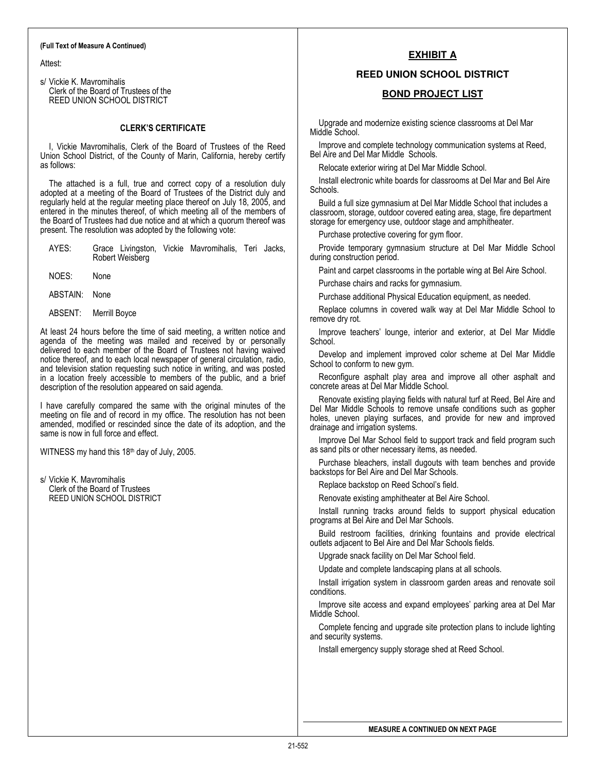#### (Full Text of Measure A Continued)

Attest:

s/ Vickie K. Mavromihalis Clerk of the Board of Trustees of the REED UNION SCHOOL DISTRICT

### CLERK'S CERTIFICATE

I, Vickie Mavromihalis, Clerk of the Board of Trustees of the Reed Union School District, of the County of Marin, California, hereby certify as follows:

The attached is a full, true and correct copy of a resolution duly adopted at a meeting of the Board of Trustees of the District duly and regularly held at the regular meeting place thereof on July 18, 2005, and entered in the minutes thereof, of which meeting all of the members of the Board of Trustees had due notice and at which a quorum thereof was present. The resolution was adopted by the following vote:

| AYES: |                 |  |  | Grace Livingston, Vickie Mavromihalis, Teri Jacks, |  |
|-------|-----------------|--|--|----------------------------------------------------|--|
|       | Robert Weisberg |  |  |                                                    |  |

NOES: None

ABSTAIN: None

ABSENT: Merrill Boyce

At least 24 hours before the time of said meeting, a written notice and agenda of the meeting was mailed and received by or personally delivered to each member of the Board of Trustees not having waived notice thereof, and to each local newspaper of general circulation, radio, and television station requesting such notice in writing, and was posted in a location freely accessible to members of the public, and a brief description of the resolution appeared on said agenda.

I have carefully compared the same with the original minutes of the meeting on file and of record in my office. The resolution has not been amended, modified or rescinded since the date of its adoption, and the same is now in full force and effect.

WITNESS my hand this  $18<sup>th</sup>$  day of July, 2005.

s/ Vickie K. Mavromihalis Clerk of the Board of Trustees REED UNION SCHOOL DISTRICT

### **EXHIBIT A**

### **REED UNION SCHOOL DISTRICT**

### **BOND PROJECT LIST**

Upgrade and modernize existing science classrooms at Del Mar Middle School.

Improve and complete technology communication systems at Reed, Bel Aire and Del Mar Middle Schools.

Relocate exterior wiring at Del Mar Middle School.

Install electronic white boards for classrooms at Del Mar and Bel Aire Schools.

Build a full size gymnasium at Del Mar Middle School that includes a classroom, storage, outdoor covered eating area, stage, fire department storage for emergency use, outdoor stage and amphitheater.

Purchase protective covering for gym floor.

Provide temporary gymnasium structure at Del Mar Middle School during construction period.

Paint and carpet classrooms in the portable wing at Bel Aire School.

Purchase chairs and racks for gymnasium.

Purchase additional Physical Education equipment, as needed.

Replace columns in covered walk way at Del Mar Middle School to remove dry rot.

Improve teachers' lounge, interior and exterior, at Del Mar Middle School.

Develop and implement improved color scheme at Del Mar Middle School to conform to new gym.

Reconfigure asphalt play area and improve all other asphalt and concrete areas at Del Mar Middle School.

Renovate existing playing fields with natural turf at Reed, Bel Aire and Del Mar Middle Schools to remove unsafe conditions such as gopher holes, uneven playing surfaces, and provide for new and improved drainage and irrigation systems.

Improve Del Mar School field to support track and field program such as sand pits or other necessary items, as needed.

Purchase bleachers, install dugouts with team benches and provide backstops for Bel Aire and Del Mar Schools.

Replace backstop on Reed School's field.

Renovate existing amphitheater at Bel Aire School.

Install running tracks around fields to support physical education programs at Bel Aire and Del Mar Schools.

Build restroom facilities, drinking fountains and provide electrical outlets adjacent to Bel Aire and Del Mar Schools fields.

Upgrade snack facility on Del Mar School field.

Update and complete landscaping plans at all schools.

Install irrigation system in classroom garden areas and renovate soil conditions.

Improve site access and expand employees' parking area at Del Mar Middle School.

Complete fencing and upgrade site protection plans to include lighting and security systems.

Install emergency supply storage shed at Reed School.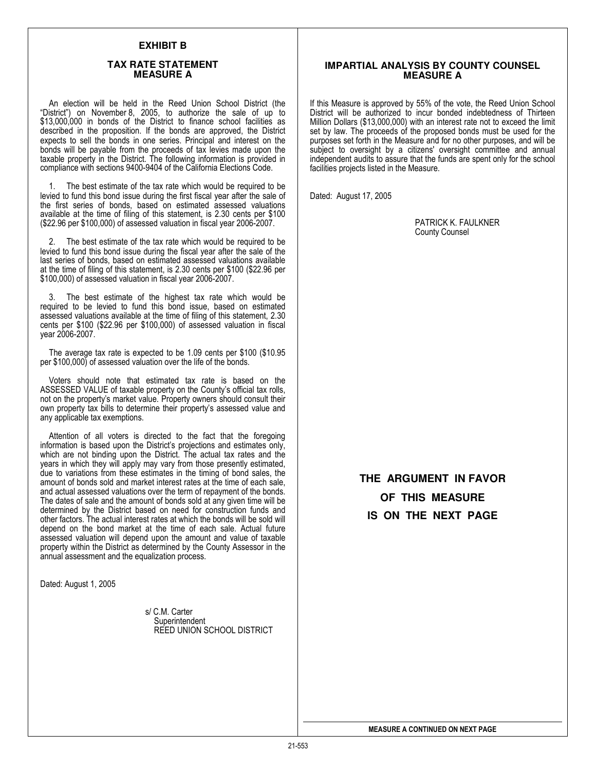### **EXHIBIT B**

#### **TAX RATE STATEMENT MEASURE A**

An election will be held in the Reed Union School District (the "District") on November 8, 2005, to authorize the sale of up to \$13,000,000 in bonds of the District to finance school facilities as described in the proposition. If the bonds are approved, the District expects to sell the bonds in one series. Principal and interest on the bonds will be payable from the proceeds of tax levies made upon the taxable property in the District. The following information is provided in compliance with sections 9400-9404 of the California Elections Code.

1. The best estimate of the tax rate which would be required to be levied to fund this bond issue during the first fiscal year after the sale of the first series of bonds, based on estimated assessed valuations available at the time of filing of this statement, is 2.30 cents per \$100 (\$22.96 per \$100,000) of assessed valuation in fiscal year 2006-2007.

2. The best estimate of the tax rate which would be required to be levied to fund this bond issue during the fiscal year after the sale of the last series of bonds, based on estimated assessed valuations available at the time of filing of this statement, is 2.30 cents per \$100 (\$22.96 per \$100,000) of assessed valuation in fiscal year 2006-2007.

The best estimate of the highest tax rate which would be required to be levied to fund this bond issue, based on estimated assessed valuations available at the time of filing of this statement, 2.30 cents per \$100 (\$22.96 per \$100,000) of assessed valuation in fiscal year 2006-2007.

The average tax rate is expected to be 1.09 cents per \$100 (\$10.95 per \$100,000) of assessed valuation over the life of the bonds.

Voters should note that estimated tax rate is based on the ASSESSED VALUE of taxable property on the County's official tax rolls, not on the property's market value. Property owners should consult their own property tax bills to determine their property's assessed value and any applicable tax exemptions.

Attention of all voters is directed to the fact that the foregoing information is based upon the District's projections and estimates only, which are not binding upon the District. The actual tax rates and the years in which they will apply may vary from those presently estimated, due to variations from these estimates in the timing of bond sales, the amount of bonds sold and market interest rates at the time of each sale, and actual assessed valuations over the term of repayment of the bonds. The dates of sale and the amount of bonds sold at any given time will be determined by the District based on need for construction funds and other factors. The actual interest rates at which the bonds will be sold will depend on the bond market at the time of each sale. Actual future assessed valuation will depend upon the amount and value of taxable property within the District as determined by the County Assessor in the annual assessment and the equalization process.

Dated: August 1, 2005

 s/ C.M. Carter **Superintendent** REED UNION SCHOOL DISTRICT

### **IMPARTIAL ANALYSIS BY COUNTY COUNSEL MEASURE A**

If this Measure is approved by 55% of the vote, the Reed Union School District will be authorized to incur bonded indebtedness of Thirteen Million Dollars (\$13,000,000) with an interest rate not to exceed the limit set by law. The proceeds of the proposed bonds must be used for the purposes set forth in the Measure and for no other purposes, and will be subject to oversight by a citizens' oversight committee and annual independent audits to assure that the funds are spent only for the school facilities projects listed in the Measure.

Dated: August 17, 2005

PATRICK K. FAULKNER County Counsel

**THE ARGUMENT IN FAVOR OF THIS MEASURE IS ON THE NEXT PAGE**

MEASURE A CONTINUED ON NEXT PAGE